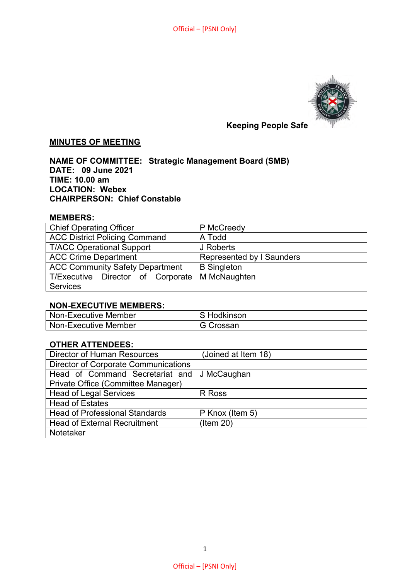

# **Keeping People Safe**

# **MINUTES OF MEETING**

**NAME OF COMMITTEE: Strategic Management Board (SMB) DATE: 09 June 2021 TIME: 10.00 am LOCATION: Webex CHAIRPERSON: Chief Constable** 

#### **MEMBERS:**

| <b>Chief Operating Officer</b>         | P McCreedy                       |
|----------------------------------------|----------------------------------|
| <b>ACC District Policing Command</b>   | A Todd                           |
| <b>T/ACC Operational Support</b>       | J Roberts                        |
| <b>ACC Crime Department</b>            | <b>Represented by I Saunders</b> |
| <b>ACC Community Safety Department</b> | <b>B</b> Singleton               |
| T/Executive Director of Corporate      | M McNaughten                     |
| <b>Services</b>                        |                                  |

#### **NON-EXECUTIVE MEMBERS:**

| Non-Executive Member | S Hodkinson |
|----------------------|-------------|
| Non-Executive Member | G Crossan   |

## **OTHER ATTENDEES:**

| <b>Director of Human Resources</b>          | (Joined at Item 18) |
|---------------------------------------------|---------------------|
| <b>Director of Corporate Communications</b> |                     |
| Head of Command Secretariat and             | J McCaughan         |
| Private Office (Committee Manager)          |                     |
| <b>Head of Legal Services</b>               | R Ross              |
| <b>Head of Estates</b>                      |                     |
| <b>Head of Professional Standards</b>       | P Knox (Item 5)     |
| <b>Head of External Recruitment</b>         | $($ ltem 20)        |
| Notetaker                                   |                     |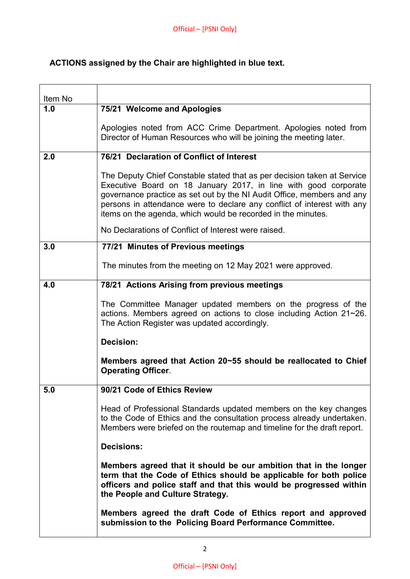# **ACTIONS assigned by the Chair are highlighted in blue text.**

| Item No |                                                                                                                                                                                                                                                                                                                                                                 |
|---------|-----------------------------------------------------------------------------------------------------------------------------------------------------------------------------------------------------------------------------------------------------------------------------------------------------------------------------------------------------------------|
| 1.0     | 75/21 Welcome and Apologies                                                                                                                                                                                                                                                                                                                                     |
|         | Apologies noted from ACC Crime Department. Apologies noted from<br>Director of Human Resources who will be joining the meeting later.                                                                                                                                                                                                                           |
| 2.0     | 76/21 Declaration of Conflict of Interest                                                                                                                                                                                                                                                                                                                       |
|         | The Deputy Chief Constable stated that as per decision taken at Service<br>Executive Board on 18 January 2017, in line with good corporate<br>governance practice as set out by the NI Audit Office, members and any<br>persons in attendance were to declare any conflict of interest with any<br>items on the agenda, which would be recorded in the minutes. |
|         | No Declarations of Conflict of Interest were raised.                                                                                                                                                                                                                                                                                                            |
| 3.0     | 77/21 Minutes of Previous meetings                                                                                                                                                                                                                                                                                                                              |
|         | The minutes from the meeting on 12 May 2021 were approved.                                                                                                                                                                                                                                                                                                      |
| 4.0     | 78/21 Actions Arising from previous meetings                                                                                                                                                                                                                                                                                                                    |
|         | The Committee Manager updated members on the progress of the<br>actions. Members agreed on actions to close including Action 21~26.<br>The Action Register was updated accordingly.                                                                                                                                                                             |
|         | <b>Decision:</b>                                                                                                                                                                                                                                                                                                                                                |
|         | Members agreed that Action 20~55 should be reallocated to Chief<br><b>Operating Officer.</b>                                                                                                                                                                                                                                                                    |
| 5.0     | 90/21 Code of Ethics Review                                                                                                                                                                                                                                                                                                                                     |
|         | Head of Professional Standards updated members on the key changes<br>to the Code of Ethics and the consultation process already undertaken.<br>Members were briefed on the routemap and timeline for the draft report.                                                                                                                                          |
|         | <b>Decisions:</b>                                                                                                                                                                                                                                                                                                                                               |
|         | Members agreed that it should be our ambition that in the longer<br>term that the Code of Ethics should be applicable for both police<br>officers and police staff and that this would be progressed within<br>the People and Culture Strategy.                                                                                                                 |
|         | Members agreed the draft Code of Ethics report and approved<br>submission to the Policing Board Performance Committee.                                                                                                                                                                                                                                          |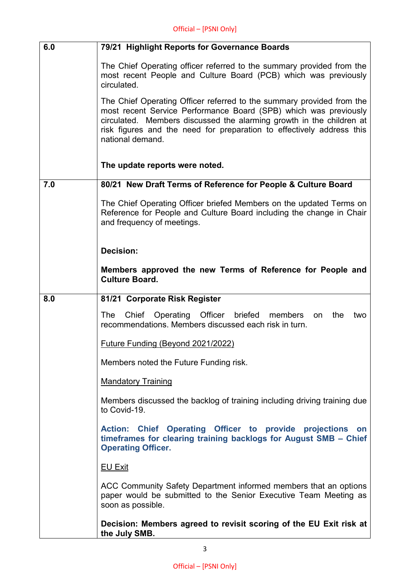| 6.0 | 79/21 Highlight Reports for Governance Boards                                                                                                                                                                                                                                                                  |
|-----|----------------------------------------------------------------------------------------------------------------------------------------------------------------------------------------------------------------------------------------------------------------------------------------------------------------|
|     | The Chief Operating officer referred to the summary provided from the<br>most recent People and Culture Board (PCB) which was previously<br>circulated.                                                                                                                                                        |
|     | The Chief Operating Officer referred to the summary provided from the<br>most recent Service Performance Board (SPB) which was previously<br>circulated. Members discussed the alarming growth in the children at<br>risk figures and the need for preparation to effectively address this<br>national demand. |
|     | The update reports were noted.                                                                                                                                                                                                                                                                                 |
| 7.0 | 80/21 New Draft Terms of Reference for People & Culture Board                                                                                                                                                                                                                                                  |
|     | The Chief Operating Officer briefed Members on the updated Terms on<br>Reference for People and Culture Board including the change in Chair<br>and frequency of meetings.                                                                                                                                      |
|     | <b>Decision:</b>                                                                                                                                                                                                                                                                                               |
|     | Members approved the new Terms of Reference for People and<br><b>Culture Board.</b>                                                                                                                                                                                                                            |
| 8.0 | 81/21 Corporate Risk Register                                                                                                                                                                                                                                                                                  |
|     | Officer<br>briefed<br><b>The</b><br>Chief<br>Operating<br>members<br>the<br>two<br>on<br>recommendations. Members discussed each risk in turn.                                                                                                                                                                 |
|     | <b>Future Funding (Beyond 2021/2022)</b>                                                                                                                                                                                                                                                                       |
|     | Members noted the Future Funding risk.                                                                                                                                                                                                                                                                         |
|     | <b>Mandatory Training</b>                                                                                                                                                                                                                                                                                      |
|     | Members discussed the backlog of training including driving training due<br>to Covid-19.                                                                                                                                                                                                                       |
|     | Action: Chief Operating Officer to provide projections on<br>timeframes for clearing training backlogs for August SMB - Chief<br><b>Operating Officer.</b>                                                                                                                                                     |
|     | <b>EU Exit</b>                                                                                                                                                                                                                                                                                                 |
|     | ACC Community Safety Department informed members that an options<br>paper would be submitted to the Senior Executive Team Meeting as<br>soon as possible.                                                                                                                                                      |
|     | Decision: Members agreed to revisit scoring of the EU Exit risk at<br>the July SMB.                                                                                                                                                                                                                            |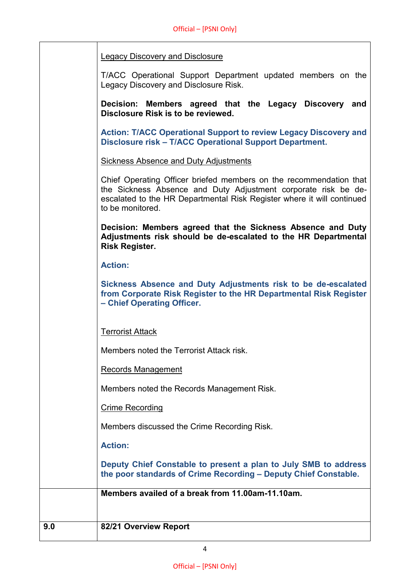| Legacy Discovery and Disclosure |
|---------------------------------|
|---------------------------------|

T/ACC Operational Support Department updated members on the Legacy Discovery and Disclosure Risk.

**Decision: Members agreed that the Legacy Discovery and Disclosure Risk is to be reviewed.**

**Action: T/ACC Operational Support to review Legacy Discovery and Disclosure risk – T/ACC Operational Support Department.**

Sickness Absence and Duty Adjustments

Chief Operating Officer briefed members on the recommendation that the Sickness Absence and Duty Adjustment corporate risk be deescalated to the HR Departmental Risk Register where it will continued to be monitored. **Decision: Members agreed that the Sickness Absence and Duty Adjustments risk should be de-escalated to the HR Departmental Risk Register.**

**Action:**

**Sickness Absence and Duty Adjustments risk to be de-escalated from Corporate Risk Register to the HR Departmental Risk Register – Chief Operating Officer.**

Terrorist Attack

Members noted the Terrorist Attack risk.

Records Management

Members noted the Records Management Risk.

Crime Recording

Members discussed the Crime Recording Risk.

**Action:**

**Deputy Chief Constable to present a plan to July SMB to address the poor standards of Crime Recording – Deputy Chief Constable.**

**Members availed of a break from 11.00am-11.10am.**

## **9.0 82/21 Overview Report**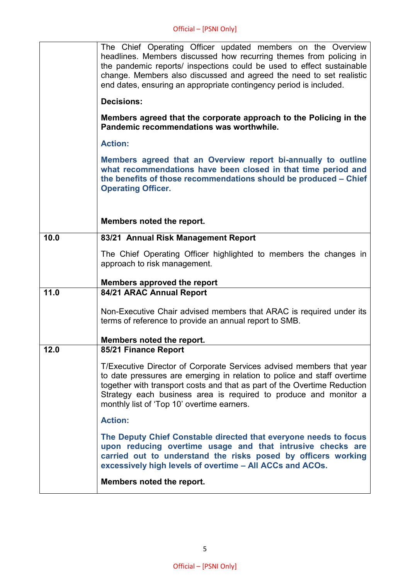|      | The Chief Operating Officer updated members on the Overview<br>headlines. Members discussed how recurring themes from policing in<br>the pandemic reports/ inspections could be used to effect sustainable<br>change. Members also discussed and agreed the need to set realistic<br>end dates, ensuring an appropriate contingency period is included. |
|------|---------------------------------------------------------------------------------------------------------------------------------------------------------------------------------------------------------------------------------------------------------------------------------------------------------------------------------------------------------|
|      | <b>Decisions:</b>                                                                                                                                                                                                                                                                                                                                       |
|      | Members agreed that the corporate approach to the Policing in the<br>Pandemic recommendations was worthwhile.                                                                                                                                                                                                                                           |
|      | <b>Action:</b>                                                                                                                                                                                                                                                                                                                                          |
|      | Members agreed that an Overview report bi-annually to outline<br>what recommendations have been closed in that time period and<br>the benefits of those recommendations should be produced - Chief<br><b>Operating Officer.</b>                                                                                                                         |
|      | Members noted the report.                                                                                                                                                                                                                                                                                                                               |
| 10.0 | 83/21 Annual Risk Management Report                                                                                                                                                                                                                                                                                                                     |
|      | The Chief Operating Officer highlighted to members the changes in<br>approach to risk management.                                                                                                                                                                                                                                                       |
|      | <b>Members approved the report</b>                                                                                                                                                                                                                                                                                                                      |
| 11.0 | 84/21 ARAC Annual Report                                                                                                                                                                                                                                                                                                                                |
|      | Non-Executive Chair advised members that ARAC is required under its<br>terms of reference to provide an annual report to SMB.                                                                                                                                                                                                                           |
|      | Members noted the report.                                                                                                                                                                                                                                                                                                                               |
| 12.0 | 85/21 Finance Report                                                                                                                                                                                                                                                                                                                                    |
|      | T/Executive Director of Corporate Services advised members that year<br>to date pressures are emerging in relation to police and staff overtime<br>together with transport costs and that as part of the Overtime Reduction<br>Strategy each business area is required to produce and monitor a<br>monthly list of 'Top 10' overtime earners.           |
|      | <b>Action:</b>                                                                                                                                                                                                                                                                                                                                          |
|      | The Deputy Chief Constable directed that everyone needs to focus<br>upon reducing overtime usage and that intrusive checks are<br>carried out to understand the risks posed by officers working<br>excessively high levels of overtime - All ACCs and ACOs.                                                                                             |
|      | Members noted the report.                                                                                                                                                                                                                                                                                                                               |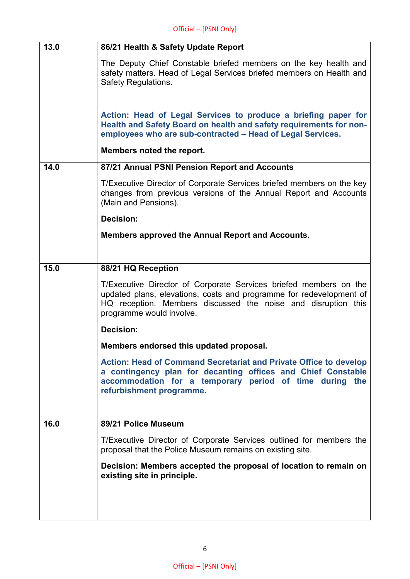| 13.0 | 86/21 Health & Safety Update Report                                                                                                                                                                                                   |
|------|---------------------------------------------------------------------------------------------------------------------------------------------------------------------------------------------------------------------------------------|
|      | The Deputy Chief Constable briefed members on the key health and<br>safety matters. Head of Legal Services briefed members on Health and<br><b>Safety Regulations.</b>                                                                |
|      | Action: Head of Legal Services to produce a briefing paper for<br>Health and Safety Board on health and safety requirements for non-<br>employees who are sub-contracted - Head of Legal Services.                                    |
|      | Members noted the report.                                                                                                                                                                                                             |
| 14.0 | 87/21 Annual PSNI Pension Report and Accounts                                                                                                                                                                                         |
|      | T/Executive Director of Corporate Services briefed members on the key<br>changes from previous versions of the Annual Report and Accounts<br>(Main and Pensions).                                                                     |
|      | <b>Decision:</b>                                                                                                                                                                                                                      |
|      | Members approved the Annual Report and Accounts.                                                                                                                                                                                      |
|      |                                                                                                                                                                                                                                       |
| 15.0 | 88/21 HQ Reception                                                                                                                                                                                                                    |
|      | T/Executive Director of Corporate Services briefed members on the<br>updated plans, elevations, costs and programme for redevelopment of<br>HQ reception. Members discussed the noise and disruption this<br>programme would involve. |
|      | <b>Decision:</b>                                                                                                                                                                                                                      |
|      | Members endorsed this updated proposal.                                                                                                                                                                                               |
|      | <b>Action: Head of Command Secretariat and Private Office to develop</b><br>a contingency plan for decanting offices and Chief Constable<br>accommodation for a temporary period of time during the<br>refurbishment programme.       |
| 16.0 | 89/21 Police Museum                                                                                                                                                                                                                   |
|      |                                                                                                                                                                                                                                       |
|      | T/Executive Director of Corporate Services outlined for members the<br>proposal that the Police Museum remains on existing site.                                                                                                      |
|      | Decision: Members accepted the proposal of location to remain on<br>existing site in principle.                                                                                                                                       |
|      |                                                                                                                                                                                                                                       |
|      |                                                                                                                                                                                                                                       |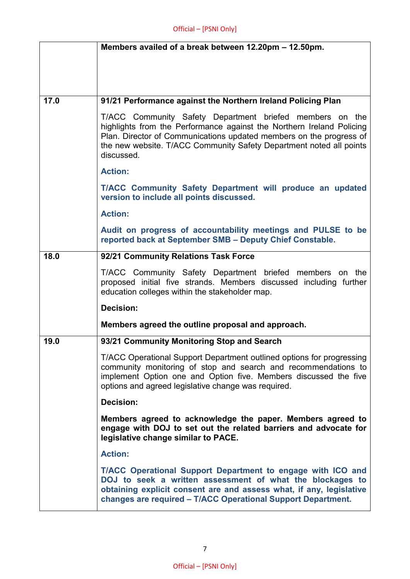|      | Members availed of a break between 12.20pm - 12.50pm.                                                                                                                                                                                                                                         |
|------|-----------------------------------------------------------------------------------------------------------------------------------------------------------------------------------------------------------------------------------------------------------------------------------------------|
|      |                                                                                                                                                                                                                                                                                               |
|      |                                                                                                                                                                                                                                                                                               |
| 17.0 | 91/21 Performance against the Northern Ireland Policing Plan                                                                                                                                                                                                                                  |
|      |                                                                                                                                                                                                                                                                                               |
|      | T/ACC Community Safety Department briefed members on the<br>highlights from the Performance against the Northern Ireland Policing<br>Plan. Director of Communications updated members on the progress of<br>the new website. T/ACC Community Safety Department noted all points<br>discussed. |
|      | <b>Action:</b>                                                                                                                                                                                                                                                                                |
|      | T/ACC Community Safety Department will produce an updated<br>version to include all points discussed.                                                                                                                                                                                         |
|      | <b>Action:</b>                                                                                                                                                                                                                                                                                |
|      | Audit on progress of accountability meetings and PULSE to be<br>reported back at September SMB - Deputy Chief Constable.                                                                                                                                                                      |
| 18.0 | 92/21 Community Relations Task Force                                                                                                                                                                                                                                                          |
|      | T/ACC Community Safety Department briefed members on the<br>proposed initial five strands. Members discussed including further<br>education colleges within the stakeholder map.                                                                                                              |
|      | <b>Decision:</b>                                                                                                                                                                                                                                                                              |
|      | Members agreed the outline proposal and approach.                                                                                                                                                                                                                                             |
| 19.0 | 93/21 Community Monitoring Stop and Search                                                                                                                                                                                                                                                    |
|      | T/ACC Operational Support Department outlined options for progressing<br>community monitoring of stop and search and recommendations to<br>implement Option one and Option five. Members discussed the five<br>options and agreed legislative change was required.                            |
|      | <b>Decision:</b>                                                                                                                                                                                                                                                                              |
|      | Members agreed to acknowledge the paper. Members agreed to<br>engage with DOJ to set out the related barriers and advocate for<br>legislative change similar to PACE.                                                                                                                         |
|      | <b>Action:</b>                                                                                                                                                                                                                                                                                |
|      | T/ACC Operational Support Department to engage with ICO and<br>DOJ to seek a written assessment of what the blockages to<br>obtaining explicit consent are and assess what, if any, legislative<br>changes are required - T/ACC Operational Support Department.                               |